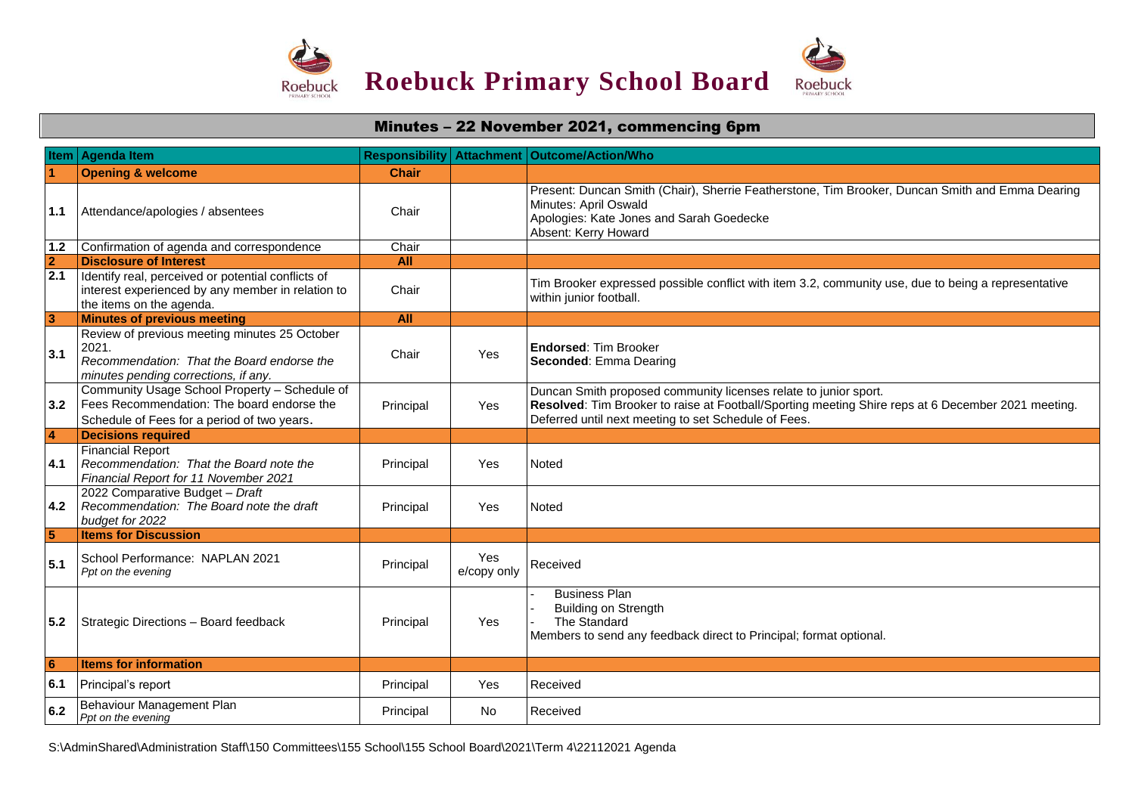

## Minutes – 22 November 2021, commencing 6pm **Item Agenda Item Responsibility Attachment Outcome/Action/Who 1 Opening & welcome Chair Chair 1.1** Attendance/apologies / absentees **Chair** Present: Duncan Smith (Chair), Sherrie Featherstone, Tim Brooker, Duncan Smith and Emma Dearing Minutes: April Oswald Apologies: Kate Jones and Sarah Goedecke Absent: Kerry Howard 1.2 Confirmation of agenda and correspondence Chair **2 Disclosure of Interest All 2.1 Identify real, perceived or potential conflicts of** interest experienced by any member in relation to the items on the agenda. Chair Tim Brooker expressed possible conflict with item 3.2, community use, due to being a representative within junior football. **1 All All All All All All All 3.1** Review of previous meeting minutes 25 October 2021. *Recommendation: That the Board endorse the minutes pending corrections, if any.* Chair Yes **Endorsed**: Tim Brooker **Seconded**: Emma Dearing **3.2** Fees Recommendation: The board endorse the Community Usage School Property – Schedule of Schedule of Fees for a period of two years. Principal Yes Duncan Smith proposed community licenses relate to junior sport. **Resolved**: Tim Brooker to raise at Football/Sporting meeting Shire reps at 6 December 2021 meeting. Deferred until next meeting to set Schedule of Fees. **4 Decisions required 4.1** *Recommendation: That the Board note the*  Financial Report *Financial Report for 11 November 2021* Principal | Yes | Noted **4.2** *Recommendation: The Board note the draft*  2022 Comparative Budget – *Draft budget for 2022* Principal | Yes | Noted **5 Items for Discussion 5.1** School Performance: NAPLAN 2021 Principal Properties Principal Properties Principal Principal Principal Principal Principal Principal Principal Principal Principal Principal Principal Principal Principal Principal Pr Yes Received Received **5.2** Strategic Directions – Board feedback Principal Principal Yes Business Plan Building on Strength The Standard Members to send any feedback direct to Principal; format optional. **6 Items for information 6.1** Principal's report **Principal Principal Principal Principal Principal Principal Principal Principal Principal Principal Principal Principal Principal Principal Principal Principal Principal Principal Principal Princi 6.2** Behaviour Management Plan **Principal Principal Properties Received Principal Principal Principal Received**

S:\AdminShared\Administration Staff\150 Committees\155 School\155 School Board\2021\Term 4\22112021 Agenda